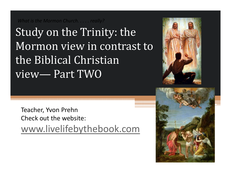*What is the Mormon Church. . . . . really?*

Study on the Trinity: the Mormon view in contrast to the Biblical Christian view— Part TWO



Teacher, Yvon Prehn Check out the website: www.livelifebythebook.com

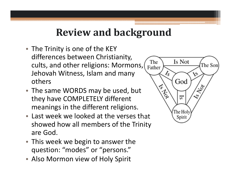### **Review and background**

- The Trinity is one of the KEY differences between Christianity, cults, and other religions: Mormons, Jehovah Witness, Islam and many others
- The same WORDS may be used, but they have COMPLETELY different meanings in the different religions.
- Last week we looked at the verses that showed how all members of the Trinity are God.
- This week we begin to answer the question: "modes" or "persons."
- Also Mormon view of Holy Spirit

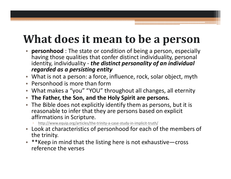# **What does it mean to be a person**

- $\bullet$  **personhood** : The state or condition of being a person, especially having those qualities that confer distinct individuality, personal identity, individuality ‐ *the distinct personality of an individual regarded as a persisting entity*
- What is not a person: a force, influence, rock, solar object, myth
- Personhood is more than form
- What makes a "you" "YOU" throughout all changes, all eternity
- **The Father, the Son, and the Holy Spirit are persons.**
- The Bible does not explicitly identify them as persons, but it is reasonable to infer that they are persons based on explicit affirmations in Scripture.
	- http://www.equip.org/articles/the‐trinity‐a‐case‐study‐in‐implicit‐truth/
- Look at characteristics of personhood for each of the members of the trinity.
- \*\*Keep in mind that the listing here is not exhaustive—cross reference the verses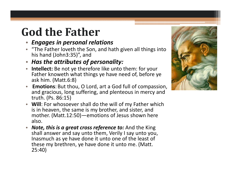# **God the Father**

- *Engages in personal relations*
- "The Father loveth the Son, and hath given all things into his hand (John3:35)", and
- $\bullet$ *Has the attributes of personality:*
- **Intellect:** Be not ye therefore like unto them: for your Father knoweth what things ye have need of, before ye ask him. (Matt.6:8)
- • **Emotions**: But thou, O Lord, art a God full of compassion, and gracious, long suffering, and plenteous in mercy and truth. (Ps. 86:15)
- **Will**: For whosoever shall do the will of my Father which is in heaven, the same is my brother, and sister, and mother. (Matt.12:50)—emotions of Jesus shown here also.
- $\bullet$  *Note, this is a great cross reference to:* And the King shall answer and say unto them, Verily I say unto you, Inasmuch as ye have done it unto one of the least of these my brethren, ye have done it unto me. (Matt. 25:40)

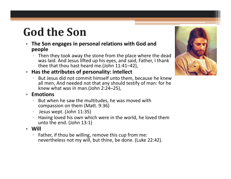# **God the Son**

- **The Son engages in personal relations with God and people**
	- $\Box$ **Then they took away the stone from the place where the dead** was laid. And Jesus lifted up his eyes, and said, Father, I thank thee that thou hast heard me.(John 11:41–42),
- **Has the attributes of personality: intellect**
	- $\Box$ **But Jesus did not commit himself unto them, because he knew** all men, And needed not that any should testify of man: for he knew what was in man.(John 2:24–25),

#### • **Emotions**

- But when he saw the multitudes, he was moved with compassion on them (Matt. 9:36)
- $\Box$ Jesus wept. (John 11:35)
- $\Box$  Having loved his own which were in the world, he loved them unto the end. (John 13:1)
- **Will**
	- $\Box$  Father, if thou be willing, remove this cup from me: nevertheless not my will, but thine, be done. (Luke 22:42).

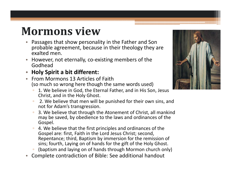## **Mormons view**

- $\bullet$  Passages that show personality in the Father and Son probable agreement, because in their theology they are exalted men.
- However, not eternally, co‐existing members of the Godhead
- •**Holy Spirit <sup>a</sup> bit different:**
- From Mormons 13 Articles of Faith(so much so wrong here though the same words used)
	- $\Box$ **1. We believe in God, the Eternal Father, and in His Son, Jesus** Christ, and in the Holy Ghost.
	- $\Box$ **2. We believe that men will be punished for their own sins, and** not for Adam's transgression.
	- **3. We believe that through the Atonement of Christ, all mankind** may be saved, by obedience to the laws and ordinances of the Gospel.
	- $\Box$ **4. We believe that the first principles and ordinances of the** Gospel are: first, Faith in the Lord Jesus Christ; second, Repentance; third, Baptism by immersion for the remission of sins; fourth, Laying on of hands for the gift of the Holy Ghost.
	- (baptism and laying on of hands through Mormon church only)
- •Complete contradiction of Bible: See additional handout

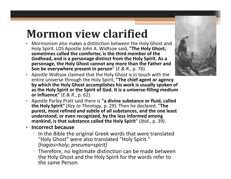### **Mormon view clarified**

• Mormonism also makes a distinction between the Holy Ghost and Holy Spirit. LDS Apostle John A. Widtsoe said, **"The Holy Ghost, sometimes called the comforter, is the third member of the Godhead, and is a personage distinct from the Holy Spirit. As a personage, the Holy Ghost cannot any more than the Father and Son be everywhere present in person** " (*E.& R.,* p. 76).



- Apostle Widtsoe claimed that the Holy Ghost is in touch with the entire universe through the Holy Spirit, **"The chief agent or agency by which the Holy Ghost accomplishes his work is usually spoken of as the Holy Spirit or the Spirit of God. It is a universe‐filling medium or influence"** (*E.& R.*, p. 62).
- Apostle Parley Pratt said there is **"a divine substance or fluid, called the Holy Spirit"** (*Key to Theology*, p. 29). Then he declared, "**The purest, most refined and subtle of all substances, and the one least understood, or even recognized, by the less informed among mankind, is that substance called the Holy Spirit** " (*Ibid.*, p. 39).
- $\bullet$  **Incorrect because**
	- In the Bible the original Greek words that were translated "Holy Ghost" were also translated "Holy Spirit." [*hagios=holy; pneuma=spirit]*
	- $\Box$  Therefore, no legitimate distinction can be made between the Holy Ghost and the Holy Spirit for the words refer to the same Person.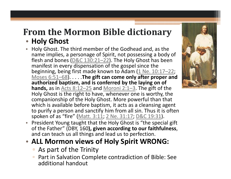# **From the Mormon Bible dictionary**

#### • **Holy Ghost**

- • Holy Ghost. The third member of the Godhead and, as the name implies, a personage of Spirit, not possessing a body of flesh and bones (<u>D&C 130:21–22</u>). The Holy Ghost has been manifest in every dispensation of the gospel since the beginning, being first made known to Adam (1 Ne. 10:17–22; Moses 6:51–68). . . . .**The gift can come only after proper and authorized baptism, and is conferred by the laying on of hands,** as in Acts 8:12–25 and Moroni 2:1–3. The gift of the Holy Ghost is the right to have, whenever one is worthy, the companionship of the Holy Ghost. More powerful than that which is available before baptism, it acts as a cleansing agent to purify a person and sanctify him from all sin. Thus it is often spoken of as "fire" (Matt. 3:11; 2 Ne. 31:17; D&C 19:31).
- $\bullet$  President Young taught that the Holy Ghost is "the special gift of the Father" (DBY, 160**), given according to our faithfulness**, and can teach us all things and lead us to perfection.

### • **ALL Mormon views of Holy Spirit WRONG:**

- As part of the Trinity
- Part in Salvation Complete contradiction of Bible: See additional handout

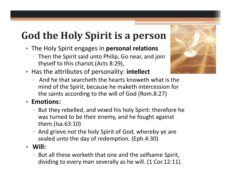## **God the Holy Spirit is <sup>a</sup> person**

- The Holy Spirit engages in **personal relations**
	- $\Box$ **Then the Spirit said unto Philip, Go near, and join** thyself to this chariot.(Acts 8:29),
- Has the attributes of personality: **intellect**
	- **E** And he that searcheth the hearts knoweth what is the mind of the Spirit, because he maketh intercession for the saints according to the will of God (Rom.8:27)

#### • **Emotions:**

- $\Box$  But they rebelled, and vexed his holy Spirit: therefore he was turned to be their enemy, and he fought against them.(Isa.63:10)
- **And grieve not the holy Spirit of God, whereby ye are** sealed unto the day of redemption. (Eph.4:30)
- **Will:**
	- $\Box$ **But all these worketh that one and the selfsame Spirit,** dividing to every man severally as he will. (1 Cor.12:11).

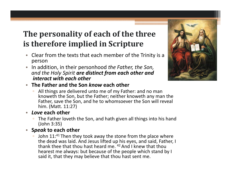### **The personality of each of the three is therefore implied in Scripture**

- $\bullet$  Clear from the texts that each member of the Trinity is <sup>a</sup> person
- • In addition, in their personhood *the Father, the Son, and the Holy Spirit are distinct from each other and interact with each other*
- **The Father and the Son** *know* **each other**
	- All things are delivered unto me of my Father: and no man knoweth the Son, but the Father; neither knoweth any man the Father, save the Son, and he to whomsoever the Son will reveal him. (Matt. 11:27)
- • *Love* **each other**
	- The Father loveth the Son, and hath given all things into his hand (John 3:35)
- **S***peak* **to each other**
	- **John 11:**<sup>41</sup> Then they took away the stone from the place where the dead was laid. And Jesus lifted up his eyes, and said, Father, I thank thee that thou hast heard me. <sup>42</sup> And I knew that thou hearest me always: but because of the people which stand by I said it, that they may believe that thou hast sent me.

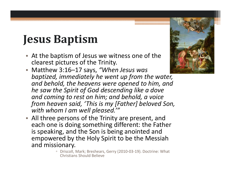# **Jesus Baptism**

- At the baptism of Jesus we witness one of the clearest pictures of the Trinity.
- $\bullet$  Matthew 3:16–17 says, *"When Jesus was baptized, immediately he went up from the water, and behold, the heavens were opened to him, and he saw the Spirit of God descending like a dove and coming to rest on him; and behold, a voice from heaven said, 'This is my [Father] beloved Son, with whom I am well pleased.'"*
- All three persons of the Trinity are present, and each one is doing something different: the Father is speaking, and the Son is being anointed and empowered by the Holy Spirit to be the Messiah and missionary.
	- Driscoll, Mark; Breshears, Gerry (2010‐03‐19). Doctrine: What Christians Should Believe